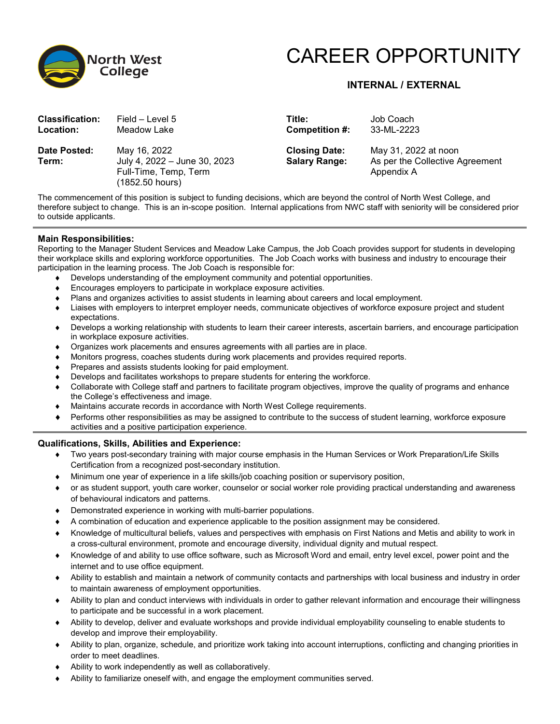

# CAREER OPPORTUNITY

## **INTERNAL / EXTERNAL**

| <b>Classification:</b><br><b>Location:</b> | Field – Level 5<br>Meadow Lake                                                           | Title:<br>Competition #:                     | Job Coach<br>33-ML-2223                                               |
|--------------------------------------------|------------------------------------------------------------------------------------------|----------------------------------------------|-----------------------------------------------------------------------|
| Date Posted:<br>Term:                      | May 16, 2022<br>July 4, 2022 - June 30, 2023<br>Full-Time, Temp, Term<br>(1852.50 hours) | <b>Closing Date:</b><br><b>Salary Range:</b> | May 31, 2022 at noon<br>As per the Collective Agreement<br>Appendix A |
| $- \cdot$                                  |                                                                                          |                                              |                                                                       |

The commencement of this position is subject to funding decisions, which are beyond the control of North West College, and therefore subject to change. This is an in-scope position. Internal applications from NWC staff with seniority will be considered prior to outside applicants.

#### **Main Responsibilities:**

Reporting to the Manager Student Services and Meadow Lake Campus, the Job Coach provides support for students in developing their workplace skills and exploring workforce opportunities. The Job Coach works with business and industry to encourage their participation in the learning process. The Job Coach is responsible for:

- ♦ Develops understanding of the employment community and potential opportunities.
- ♦ Encourages employers to participate in workplace exposure activities.
- ♦ Plans and organizes activities to assist students in learning about careers and local employment.
- ♦ Liaises with employers to interpret employer needs, communicate objectives of workforce exposure project and student expectations.
- ♦ Develops a working relationship with students to learn their career interests, ascertain barriers, and encourage participation in workplace exposure activities.
- ♦ Organizes work placements and ensures agreements with all parties are in place.
- Monitors progress, coaches students during work placements and provides required reports.
- ♦ Prepares and assists students looking for paid employment.
- ♦ Develops and facilitates workshops to prepare students for entering the workforce.
- ♦ Collaborate with College staff and partners to facilitate program objectives, improve the quality of programs and enhance the College's effectiveness and image.
- ♦ Maintains accurate records in accordance with North West College requirements.
- ♦ Performs other responsibilities as may be assigned to contribute to the success of student learning, workforce exposure activities and a positive participation experience.

#### **Qualifications, Skills, Abilities and Experience:**

- ♦ Two years post-secondary training with major course emphasis in the Human Services or Work Preparation/Life Skills Certification from a recognized post-secondary institution.
- ♦ Minimum one year of experience in a life skills/job coaching position or supervisory position,
- ♦ or as student support, youth care worker, counselor or social worker role providing practical understanding and awareness of behavioural indicators and patterns.
- ♦ Demonstrated experience in working with multi-barrier populations.
- A combination of education and experience applicable to the position assignment may be considered.
- ♦ Knowledge of multicultural beliefs, values and perspectives with emphasis on First Nations and Metis and ability to work in a cross-cultural environment, promote and encourage diversity, individual dignity and mutual respect.
- ♦ Knowledge of and ability to use office software, such as Microsoft Word and email, entry level excel, power point and the internet and to use office equipment.
- ♦ Ability to establish and maintain a network of community contacts and partnerships with local business and industry in order to maintain awareness of employment opportunities.
- ♦ Ability to plan and conduct interviews with individuals in order to gather relevant information and encourage their willingness to participate and be successful in a work placement.
- ♦ Ability to develop, deliver and evaluate workshops and provide individual employability counseling to enable students to develop and improve their employability.
- ♦ Ability to plan, organize, schedule, and prioritize work taking into account interruptions, conflicting and changing priorities in order to meet deadlines.
- Ability to work independently as well as collaboratively.
- ♦ Ability to familiarize oneself with, and engage the employment communities served.